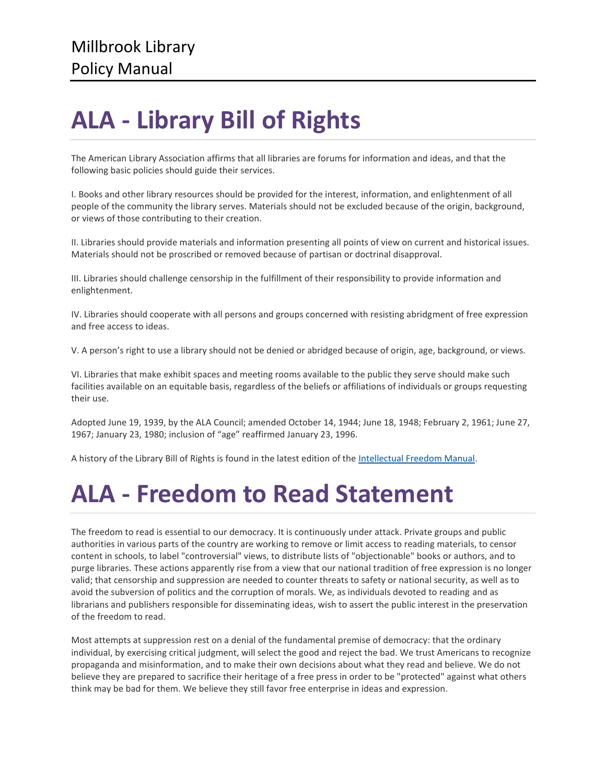# **ALA - Library Bill of Rights**

The American Library Association affirms that all libraries are forums for information and ideas, and that the following basic policies should guide their services.

I. Books and other library resources should be provided for the interest, information, and enlightenment of all people of the community the library serves. Materials should not be excluded because of the origin, background, or views of those contributing to their creation.

II. Libraries should provide materials and information presenting all points of view on current and historical issues. Materials should not be proscribed or removed because of partisan or doctrinal disapproval.

III. Libraries should challenge censorship in the fulfillment of their responsibility to provide information and enlightenment.

IV. Libraries should cooperate with all persons and groups concerned with resisting abridgment of free expression and free access to ideas.

V. A person's right to use a library should not be denied or abridged because of origin, age, background, or views.

VI. Libraries that make exhibit spaces and meeting rooms available to the public they serve should make such facilities available on an equitable basis, regardless of the beliefs or affiliations of individuals or groups requesting their use.

Adopted June 19, 1939, by the ALA Council; amended October 14, 1944; June 18, 1948; February 2, 1961; June 27, 1967; January 23, 1980; inclusion of "age" reaffirmed January 23, 1996.

A history of the Library Bill of Rights is found in the latest edition of the [Intellectual Freedom Manual.](http://www.ala.org/advocacy/intfreedom/iftoolkits/ifmanual/intellectual)

## **ALA - Freedom to Read Statement**

The freedom to read is essential to our democracy. It is continuously under attack. Private groups and public authorities in various parts of the country are working to remove or limit access to reading materials, to censor content in schools, to label "controversial" views, to distribute lists of "objectionable" books or authors, and to purge libraries. These actions apparently rise from a view that our national tradition of free expression is no longer valid; that censorship and suppression are needed to counter threats to safety or national security, as well as to avoid the subversion of politics and the corruption of morals. We, as individuals devoted to reading and as librarians and publishers responsible for disseminating ideas, wish to assert the public interest in the preservation of the freedom to read.

Most attempts at suppression rest on a denial of the fundamental premise of democracy: that the ordinary individual, by exercising critical judgment, will select the good and reject the bad. We trust Americans to recognize propaganda and misinformation, and to make their own decisions about what they read and believe. We do not believe they are prepared to sacrifice their heritage of a free press in order to be "protected" against what others think may be bad for them. We believe they still favor free enterprise in ideas and expression.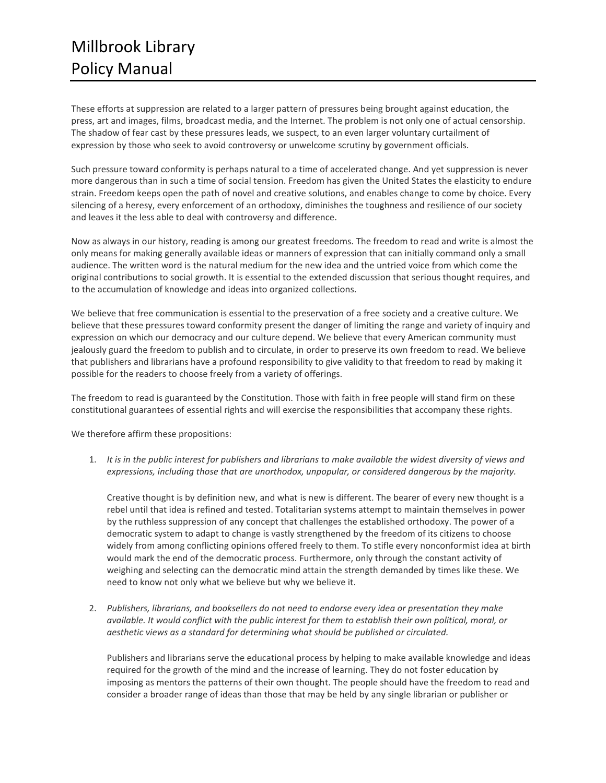### Millbrook Library Policy Manual

These efforts at suppression are related to a larger pattern of pressures being brought against education, the press, art and images, films, broadcast media, and the Internet. The problem is not only one of actual censorship. The shadow of fear cast by these pressures leads, we suspect, to an even larger voluntary curtailment of expression by those who seek to avoid controversy or unwelcome scrutiny by government officials.

Such pressure toward conformity is perhaps natural to a time of accelerated change. And yet suppression is never more dangerous than in such a time of social tension. Freedom has given the United States the elasticity to endure strain. Freedom keeps open the path of novel and creative solutions, and enables change to come by choice. Every silencing of a heresy, every enforcement of an orthodoxy, diminishes the toughness and resilience of our society and leaves it the less able to deal with controversy and difference.

Now as always in our history, reading is among our greatest freedoms. The freedom to read and write is almost the only means for making generally available ideas or manners of expression that can initially command only a small audience. The written word is the natural medium for the new idea and the untried voice from which come the original contributions to social growth. It is essential to the extended discussion that serious thought requires, and to the accumulation of knowledge and ideas into organized collections.

We believe that free communication is essential to the preservation of a free society and a creative culture. We believe that these pressures toward conformity present the danger of limiting the range and variety of inquiry and expression on which our democracy and our culture depend. We believe that every American community must jealously guard the freedom to publish and to circulate, in order to preserve its own freedom to read. We believe that publishers and librarians have a profound responsibility to give validity to that freedom to read by making it possible for the readers to choose freely from a variety of offerings.

The freedom to read is guaranteed by the Constitution. Those with faith in free people will stand firm on these constitutional guarantees of essential rights and will exercise the responsibilities that accompany these rights.

We therefore affirm these propositions:

1. *It is in the public interest for publishers and librarians to make available the widest diversity of views and expressions, including those that are unorthodox, unpopular, or considered dangerous by the majority.*

Creative thought is by definition new, and what is new is different. The bearer of every new thought is a rebel until that idea is refined and tested. Totalitarian systems attempt to maintain themselves in power by the ruthless suppression of any concept that challenges the established orthodoxy. The power of a democratic system to adapt to change is vastly strengthened by the freedom of its citizens to choose widely from among conflicting opinions offered freely to them. To stifle every nonconformist idea at birth would mark the end of the democratic process. Furthermore, only through the constant activity of weighing and selecting can the democratic mind attain the strength demanded by times like these. We need to know not only what we believe but why we believe it.

2. *Publishers, librarians, and booksellers do not need to endorse every idea or presentation they make available. It would conflict with the public interest for them to establish their own political, moral, or aesthetic views as a standard for determining what should be published or circulated.*

Publishers and librarians serve the educational process by helping to make available knowledge and ideas required for the growth of the mind and the increase of learning. They do not foster education by imposing as mentors the patterns of their own thought. The people should have the freedom to read and consider a broader range of ideas than those that may be held by any single librarian or publisher or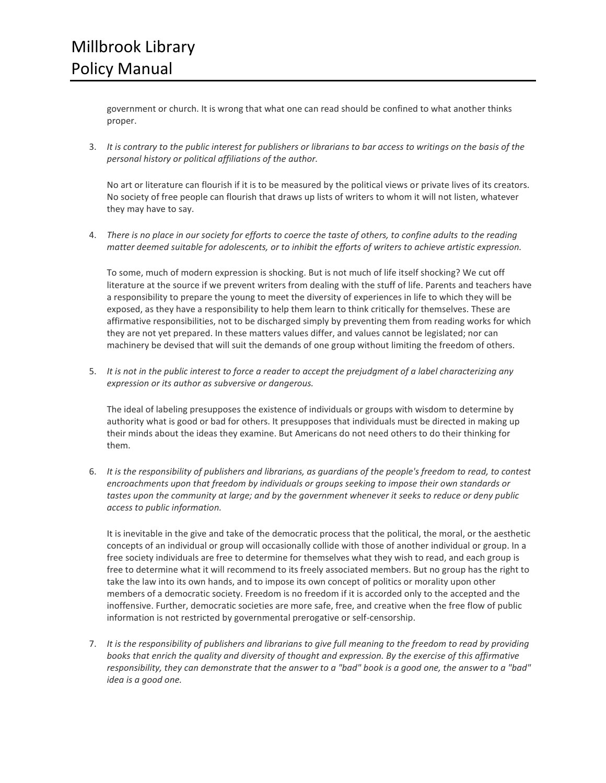government or church. It is wrong that what one can read should be confined to what another thinks proper.

3. *It is contrary to the public interest for publishers or librarians to bar access to writings on the basis of the personal history or political affiliations of the author.*

No art or literature can flourish if it is to be measured by the political views or private lives of its creators. No society of free people can flourish that draws up lists of writers to whom it will not listen, whatever they may have to say.

4. *There is no place in our society for efforts to coerce the taste of others, to confine adults to the reading matter deemed suitable for adolescents, or to inhibit the efforts of writers to achieve artistic expression.*

To some, much of modern expression is shocking. But is not much of life itself shocking? We cut off literature at the source if we prevent writers from dealing with the stuff of life. Parents and teachers have a responsibility to prepare the young to meet the diversity of experiences in life to which they will be exposed, as they have a responsibility to help them learn to think critically for themselves. These are affirmative responsibilities, not to be discharged simply by preventing them from reading works for which they are not yet prepared. In these matters values differ, and values cannot be legislated; nor can machinery be devised that will suit the demands of one group without limiting the freedom of others.

5. *It is not in the public interest to force a reader to accept the prejudgment of a label characterizing any expression or its author as subversive or dangerous.*

The ideal of labeling presupposes the existence of individuals or groups with wisdom to determine by authority what is good or bad for others. It presupposes that individuals must be directed in making up their minds about the ideas they examine. But Americans do not need others to do their thinking for them.

6. *It is the responsibility of publishers and librarians, as guardians of the people's freedom to read, to contest encroachments upon that freedom by individuals or groups seeking to impose their own standards or tastes upon the community at large; and by the government whenever it seeks to reduce or deny public access to public information.*

It is inevitable in the give and take of the democratic process that the political, the moral, or the aesthetic concepts of an individual or group will occasionally collide with those of another individual or group. In a free society individuals are free to determine for themselves what they wish to read, and each group is free to determine what it will recommend to its freely associated members. But no group has the right to take the law into its own hands, and to impose its own concept of politics or morality upon other members of a democratic society. Freedom is no freedom if it is accorded only to the accepted and the inoffensive. Further, democratic societies are more safe, free, and creative when the free flow of public information is not restricted by governmental prerogative or self-censorship.

7. *It is the responsibility of publishers and librarians to give full meaning to the freedom to read by providing books that enrich the quality and diversity of thought and expression. By the exercise of this affirmative responsibility, they can demonstrate that the answer to a "bad" book is a good one, the answer to a "bad" idea is a good one.*